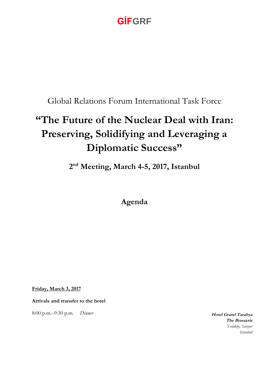Global Relations Forum International Task Force

# **"The Future of the Nuclear Deal with Iran: Preserving, Solidifying and Leveraging a Diplomatic Success"**

**2 nd Meeting, March 4-5, 2017, Istanbul**

**Agenda**

**Friday, March 3, 2017**

**Arrivals and transfer to the hotel**

8:00 p.m.–9:30 p.m. *Dinner* **Hotel Grand Tarabya**

**The Brasserie** *Yeniköy, Sarıyer Istanbul*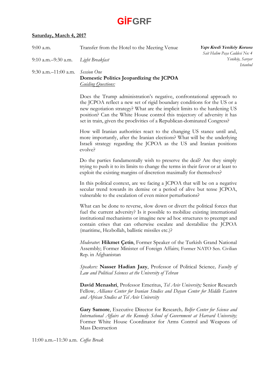### **Saturday, March 4, 2017**

| $9:00$ a.m.                           | Transfer from the Hotel to the Meeting Venue                                                                                                                                                                                                                                                                                                                                             | Yapı Kredi Yeniköy Korusu<br>Sait Halim Paşa Caddesi No: 4 |
|---------------------------------------|------------------------------------------------------------------------------------------------------------------------------------------------------------------------------------------------------------------------------------------------------------------------------------------------------------------------------------------------------------------------------------------|------------------------------------------------------------|
| $9:10$ a.m. $-9:30$ a.m.              | Light Breakfast                                                                                                                                                                                                                                                                                                                                                                          | Yeniköy, Sartyer<br>Istanbul                               |
| $9:30$ a.m. $-11:00$ a.m.             | <b>Session One</b><br>Domestic Politics Jeopardizing the JCPOA<br><b>Guiding Questions:</b>                                                                                                                                                                                                                                                                                              |                                                            |
|                                       | Does the Trump administration's negative, confrontational approach to<br>the JCPOA reflect a new set of rigid boundary conditions for the US or a<br>new negotiation strategy? What are the implicit limits to the hardening US<br>position? Can the White House control this trajectory of adversity it has<br>set in train, given the proclivities of a Republican-dominated Congress? |                                                            |
|                                       | How will Iranian authorities react to the changing US stance until and,<br>more importantly, after the Iranian elections? What will be the underlying<br>Israeli strategy regarding the JCPOA as the US and Iranian positions<br>evolve?                                                                                                                                                 |                                                            |
|                                       | Do the parties fundamentally wish to preserve the deal? Are they simply<br>trying to push it to its limits to change the terms in their favor or at least to<br>exploit the existing margins of discretion maximally for themselves?                                                                                                                                                     |                                                            |
|                                       | In this political context, are we facing a JCPOA that will be on a negative<br>secular trend towards its demise or a period of alive but tense JCPOA,<br>vulnerable to the escalation of even minor perturbations?                                                                                                                                                                       |                                                            |
|                                       | What can be done to reverse, slow down or divert the political forces that<br>fuel the current adversity? Is it possible to mobilize existing international<br>institutional mechanisms or imagine new ad hoc structures to preempt and<br>contain crises that can otherwise escalate and destabilize the JCPOA<br>(maritime, Hezbollah, ballistic missiles etc.)?                       |                                                            |
|                                       | Moderator: Hikmet Çetin, Former Speaker of the Turkish Grand National<br>Assembly; Former Minister of Foreign Affairs; Former NATO Sen. Civilian<br>Rep. in Afghanistan                                                                                                                                                                                                                  |                                                            |
|                                       | Speakers: Nasser Hadian Jazy, Professor of Political Science, Faculty of<br>Law and Political Sciences at the University of Tehran                                                                                                                                                                                                                                                       |                                                            |
|                                       | David Menashri, Professor Emeritus, Tel Aviv University; Senior Research<br>Fellow, Alliance Center for Iranian Studies and Dayan Center for Middle Eastern<br>and African Studies at Tel Aviv University                                                                                                                                                                                |                                                            |
|                                       | Gary Samore, Executive Director for Research, Belfer Center for Science and<br>International Affairs at the Kennedy School of Government at Harvard University;<br>Former White House Coordinator for Arms Control and Weapons of<br>Mass Destruction                                                                                                                                    |                                                            |
| $11.00$ a m $-11.30$ a m Coffee Break |                                                                                                                                                                                                                                                                                                                                                                                          |                                                            |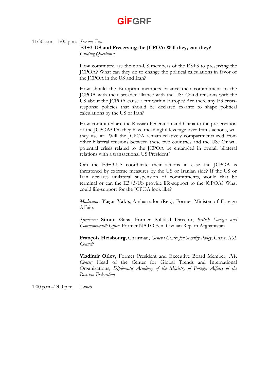#### 11:30 a.m. –1:00 p.m. *Session Two* **E3+3-US and Preserving the JCPOA: Will they, can they?** *Guiding Questions:*

How committed are the non-US members of the E3+3 to preserving the JCPOA? What can they do to change the political calculations in favor of the JCPOA in the US and Iran?

How should the European members balance their commitment to the JCPOA with their broader alliance with the US? Could tensions with the US about the JCPOA cause a rift within Europe? Are there any E3 crisisresponse policies that should be declared ex-ante to shape political calculations by the US or Iran?

How committed are the Russian Federation and China to the preservation of the JCPOA? Do they have meaningful leverage over Iran's actions, will they use it? Will the JCPOA remain relatively compartmentalized from other bilateral tensions between these two countries and the US? Or will potential crises related to the JCPOA be entangled in overall bilateral relations with a transactional US President?

Can the E3+3-US coordinate their actions in case the JCPOA is threatened by extreme measures by the US or Iranian side? If the US or Iran declares unilateral suspension of commitments, would that be terminal or can the E3+3-US provide life-support to the JCPOA? What could life-support for the JCPOA look like?

*Moderator*: **Yaşar Yakış**, Ambassador (Ret.); Former Minister of Foreign Affairs

*Speakers:* **Simon Gass**, Former Political Director, *British Foreign and Commonwealth Office*; Former NATO Sen. Civilian Rep. in Afghanistan

**François Heisbourg**, Chairman, *Geneva Centre for Security Policy*; Chair, *IISS Council*

**Vladimir Orlov**, Former President and Executive Board Member*, PIR Center;* Head of the Center for Global Trends and International Organizations*, Diplomatic Academy of the Ministry of Foreign Affairs of the Russian Federation*

1:00 p.m.–2:00 p.m. *Lunch*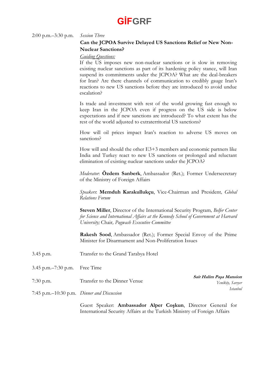#### 2:00 p.m.–3:30 p.m. *Session Three*

### **Can the JCPOA Survive Delayed US Sanctions Relief or New Non-Nuclear Sanctions?**

#### *Guiding Questions:*

If the US imposes new non-nuclear sanctions or is slow in removing existing nuclear sanctions as part of its hardening policy stance, will Iran suspend its commitments under the JCPOA? What are the deal-breakers for Iran? Are there channels of communication to credibly gauge Iran's reactions to new US sanctions before they are introduced to avoid undue escalation?

Is trade and investment with rest of the world growing fast enough to keep Iran in the JCPOA even if progress on the US side is below expectations and if new sanctions are introduced? To what extent has the rest of the world adjusted to extraterritorial US sanctions?

How will oil prices impact Iran's reaction to adverse US moves on sanctions?

How will and should the other E3+3 members and economic partners like India and Turkey react to new US sanctions or prolonged and reluctant elimination of existing nuclear sanctions under the JCPOA?

*Moderator*: **Özdem Sanberk**, Ambassador (Ret.); Former Undersecretary of the Ministry of Foreign Affairs

*Speakers*: **Memduh Karakullukçu**, Vice-Chairman and President*, Global Relations Forum*

**Steven Miller**, Director of the International Security Program*, Belfer Center for Science and International Affairs at the Kennedy School of Government at Harvard University;* Chair*, Pugwash Executive Committee*

**Rakesh Sood**, Ambassador (Ret.); Former Special Envoy of the Prime Minister for Disarmament and Non-Proliferation Issues

- 3.45 p.m. Transfer to the Grand Tarabya Hotel
- 3.45 p.m.–7:30 p.m. Free Time

7:30 p.m. Transfer to the Dinner Venue

**Sait Halim Paşa Mansion** *Yeniköy, Sarıyer Istanbul*

7:45 p.m.–10:30 p.m. *Dinner and Discussion*

Guest Speaker: **Ambassador Alper Coşkun**, Director General for International Security Affairs at the Turkish Ministry of Foreign Affairs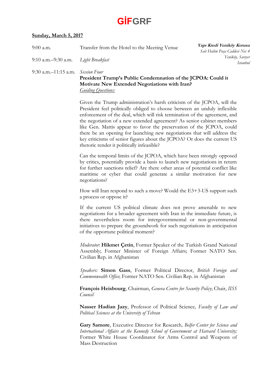### **Sunday, March 5, 2017**

| $9:00$ a.m.               | Transfer from the Hotel to the Meeting Venue                                                                                                                                                                                                                                                                                                                                                                                                                                                                                                                                                | Yapı Kredi Yeniköy Korusu<br>Sait Halim Paşa Caddesi No: 4 |
|---------------------------|---------------------------------------------------------------------------------------------------------------------------------------------------------------------------------------------------------------------------------------------------------------------------------------------------------------------------------------------------------------------------------------------------------------------------------------------------------------------------------------------------------------------------------------------------------------------------------------------|------------------------------------------------------------|
| $9:10$ a.m. $-9:30$ a.m.  | Light Breakfast                                                                                                                                                                                                                                                                                                                                                                                                                                                                                                                                                                             | Yeniköy, Sariyer<br>Istanbul                               |
| $9:30$ a.m. $-11:15$ a.m. | <b>Session Four</b><br>President Trump's Public Condemnation of the JCPOA: Could it<br>Motivate New Extended Negotiations with Iran?<br><b>Guiding Questions:</b>                                                                                                                                                                                                                                                                                                                                                                                                                           |                                                            |
|                           | Given the Trump administration's harsh criticism of the JCPOA, will the<br>President feel politically obliged to choose between an unduly inflexible<br>enforcement of the deal, which will risk termination of the agreement, and<br>the negotiation of a new extended agreement? As senior cabinet members<br>like Gen. Mattis appear to favor the preservation of the JCPOA, could<br>there be an opening for launching new negotiations that will address the<br>key criticisms of senior figures about the JCPOA? Or does the current US<br>rhetoric render it politically infeasible? |                                                            |
|                           | Can the temporal limits of the JCPOA, which have been strongly opposed<br>by critics, potentially provide a basis to launch new negotiations in return<br>for further sanctions relief? Are there other areas of potential conflict like<br>maritime or cyber that could generate a similar motivation for new<br>negotiations?                                                                                                                                                                                                                                                             |                                                            |
|                           | How will Iran respond to such a move? Would the E3+3-US support such<br>a process or oppose it?                                                                                                                                                                                                                                                                                                                                                                                                                                                                                             |                                                            |
|                           | If the current US political climate does not prove amenable to new<br>negotiations for a broader agreement with Iran in the immediate future, is<br>there nevertheless room for intergovernmental or non-governmental<br>initiatives to prepare the groundwork for such negotiations in anticipation<br>of the opportune political moment?                                                                                                                                                                                                                                                  |                                                            |
|                           | Moderator: Hikmet Çetin, Former Speaker of the Turkish Grand National<br>Assembly; Former Minister of Foreign Affairs; Former NATO Sen.<br>Civilian Rep. in Afghanistan                                                                                                                                                                                                                                                                                                                                                                                                                     |                                                            |
|                           | Speakers: Simon Gass, Former Political Director, British Foreign and<br>Commonwealth Office; Former NATO Sen. Civilian Rep. in Afghanistan                                                                                                                                                                                                                                                                                                                                                                                                                                                  |                                                            |
|                           | François Heisbourg, Chairman, Geneva Centre for Security Policy; Chair, IISS<br>Council                                                                                                                                                                                                                                                                                                                                                                                                                                                                                                     |                                                            |
|                           | Nasser Hadian Jazy, Professor of Political Science, Faculty of Law and<br>Political Sciences at the University of Tehran                                                                                                                                                                                                                                                                                                                                                                                                                                                                    |                                                            |
|                           | <b>Gary Samore, Executive Director for Research, Belfer Center for Science and</b><br>International Affairs at the Kennedy School of Government at Harvard University;<br>Former White House Coordinator for Arms Control and Weapons of<br>Mass Destruction                                                                                                                                                                                                                                                                                                                                |                                                            |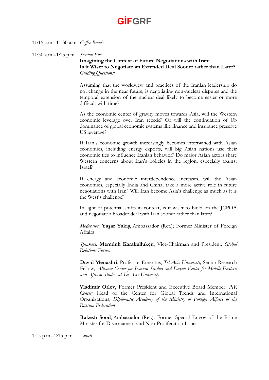11:15 a.m.–11:30 a.m. *Coffee Break*

11:30 a.m.–1:15 p.m. *Session Five*

**Imagining the Context of Future Negotiations with Iran: Is it Wiser to Negotiate an Extended Deal Sooner rather than Later?** *Guiding Questions:*

Assuming that the worldview and practices of the Iranian leadership do not change in the near future, is negotiating non-nuclear disputes and the temporal extension of the nuclear deal likely to become easier or more difficult with time?

As the economic center of gravity moves towards Asia, will the Western economic leverage over Iran recede? Or will the continuation of US dominance of global economic systems like finance and insurance preserve US leverage?

If Iran's economic growth increasingly becomes intertwined with Asian economies, including energy exports, will big Asian nations use their economic ties to influence Iranian behavior? Do major Asian actors share Western concerns about Iran's policies in the region, especially against Israel?

If energy and economic interdependence increases, will the Asian economies, especially India and China, take a more active role in future negotiations with Iran? Will Iran become Asia's challenge as much as it is the West's challenge?

In light of potential shifts in context, is it wiser to build on the JCPOA and negotiate a broader deal with Iran sooner rather than later?

*Moderator*: **Yaşar Yakış**, Ambassador (Ret.); Former Minister of Foreign Affairs

*Speakers:* **Memduh Karakullukçu**, Vice-Chairman and President*, Global Relations Forum*

**David Menashri**, Professor Emeritus, *Tel Aviv University;* Senior Research Fellow*, Alliance Center for Iranian Studies and Dayan Center for Middle Eastern and African Studies at Tel Aviv University*

**Vladimir Orlov**, Former President and Executive Board Member*, PIR Center;* Head of the Center for Global Trends and International Organizations*, Diplomatic Academy of the Ministry of Foreign Affairs of the Russian Federation*

**Rakesh Sood**, Ambassador (Ret.); Former Special Envoy of the Prime Minister for Disarmament and Non-Proliferation Issues

1:15 p.m.–2:15 p.m. *Lunch*